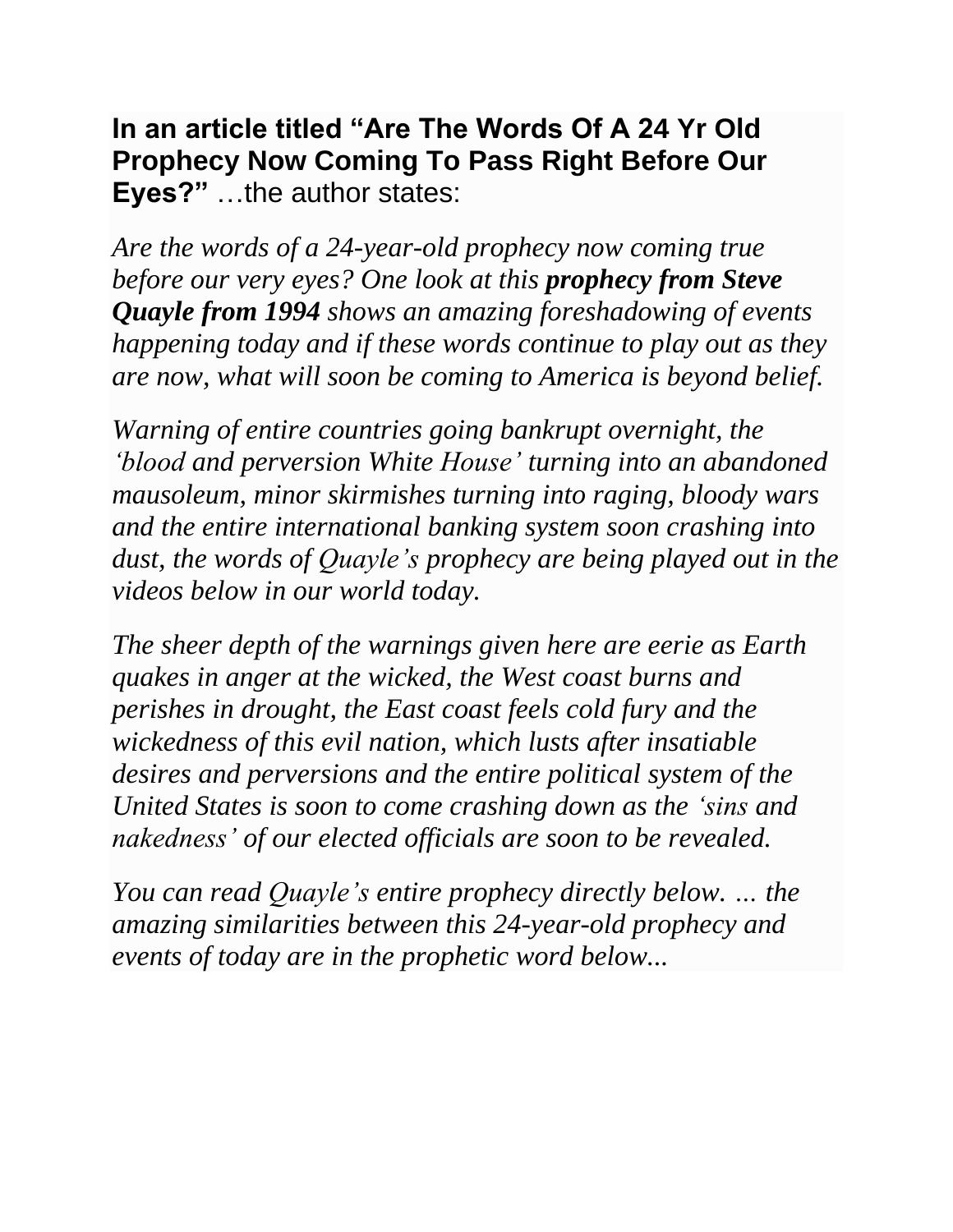**In an article titled "Are The Words Of A 24 Yr Old Prophecy Now Coming To Pass Right Before Our Eyes?"** …the author states:

*Are the words of a 24-year-old prophecy now coming true before our very eyes? One look at this [prophecy](http://www.stevequayle.com/index.php?s=593) from Steve [Quayle](http://www.stevequayle.com/index.php?s=593) from 1994 shows an amazing foreshadowing of events happening today and if these words continue to play out as they are now, what will soon be coming to America is beyond belief.*

*Warning of entire countries going bankrupt overnight, the 'blood and perversion White House' turning into an abandoned mausoleum, minor skirmishes turning into raging, bloody wars and the entire international banking system soon crashing into dust, the words of Quayle's prophecy are being played out in the videos below in our world today.*

*The sheer depth of the warnings given here are eerie as Earth quakes in anger at the wicked, the West coast burns and perishes in drought, the East coast feels cold fury and the wickedness of this evil nation, which lusts after insatiable desires and perversions and the entire political system of the United States is soon to come crashing down as the 'sins and nakedness' of our elected officials are soon to be revealed.*

*You can read Quayle's entire prophecy directly below. … the amazing similarities between this 24-year-old prophecy and events of today are in the prophetic word below...*